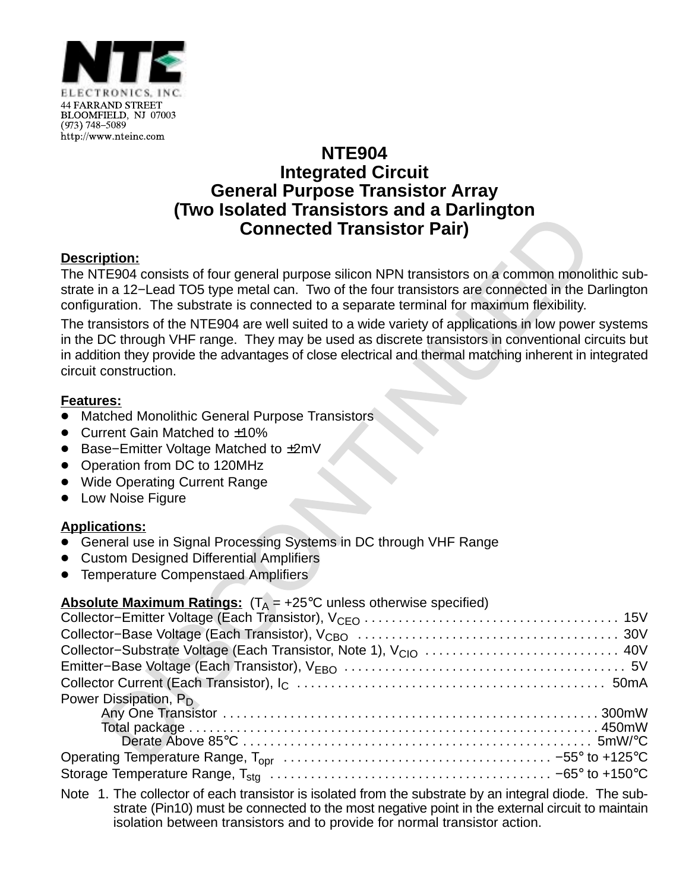

# **NTE904 Integrated Circuit General Purpose Transistor Array (Two Isolated Transistors and a Darlington Connected Transistor Pair)**

### **Description:**

The NTE904 consists of four general purpose silicon NPN transistors on a common monolithic substrate in a 12−Lead TO5 type metal can. Two of the four transistors are connected in the Darlington configuration. The substrate is connected to a separate terminal for maximum flexibility.

The transistors of the NTE904 are well suited to a wide variety of applications in low power systems in the DC through VHF range. They may be used as discrete transistors in conventional circuits but in addition they provide the advantages of close electrical and thermal matching inherent in integrated circuit construction.

#### **Features:**

- <u>■ Matched</u> Monolithic General Purpose Transistors
- Current Gain Matched to ±10%
- Base–Emitter Voltage Matched to ±2mV
- Operation from DC to 120MHz
- Wide Operating Current Range
- Low Noise Figure

#### **Applications:**

- ۔۔<br>• General use in Signal Processing Systems in DC through VHF Range
- $\bullet$ Custom Designed Differential Amplifiers
- $\bullet$ Temperature Compenstaed Amplifiers

#### **Absolute Maximum Ratings:**  $(T_0 = +25^\circ \text{C}$  unless otherwise specified)

| Collector-Substrate Voltage (Each Transistor, Note 1), V <sub>CIO</sub> 40V |  |
|-----------------------------------------------------------------------------|--|
|                                                                             |  |
|                                                                             |  |
| Power Dissipation, P <sub>D</sub>                                           |  |
|                                                                             |  |
|                                                                             |  |
|                                                                             |  |
|                                                                             |  |
|                                                                             |  |

Note 1. The collector of each transistor is isolated from the substrate by an integral diode. The substrate (Pin10) must be connected to the most negative point in the external circuit to maintain isolation between transistors and to provide for normal transistor action.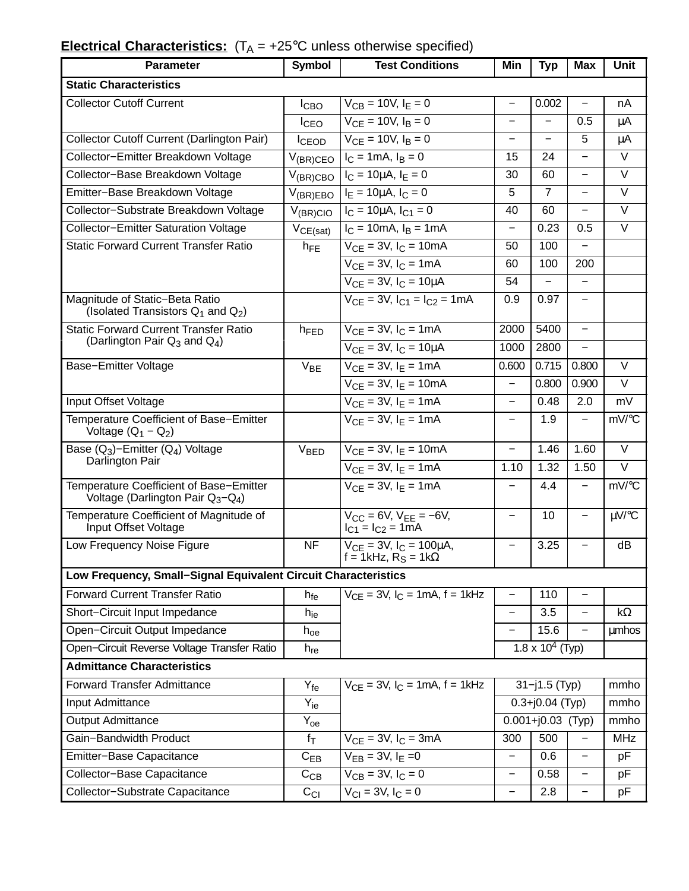| <b>Parameter</b>                                                                | <b>Symbol</b>    | <b>Test Conditions</b>                                               | Min                      | <b>Typ</b>                      | <b>Max</b>               | <b>Unit</b>       |  |  |
|---------------------------------------------------------------------------------|------------------|----------------------------------------------------------------------|--------------------------|---------------------------------|--------------------------|-------------------|--|--|
| <b>Static Characteristics</b>                                                   |                  |                                                                      |                          |                                 |                          |                   |  |  |
| <b>Collector Cutoff Current</b>                                                 | $I_{\text{CBO}}$ | $V_{CB} = 10V, I_E = 0$                                              | $\overline{\phantom{0}}$ | 0.002                           |                          | nA                |  |  |
|                                                                                 | <b>I</b> CEO     | $V_{CE} = 10V, I_B = 0$                                              | —                        |                                 | 0.5                      | μA                |  |  |
| Collector Cutoff Current (Darlington Pair)                                      | <b>I</b> CEOD    | $V_{CE} = 10V, I_B = 0$                                              | —                        |                                 | 5                        | μA                |  |  |
| Collector-Emitter Breakdown Voltage                                             | $V_{(BR)CEO}$    | $I_C = 1mA, I_B = 0$                                                 | 15                       | 24                              |                          | $\overline{\vee}$ |  |  |
| Collector-Base Breakdown Voltage                                                | $V_{(BR)CBO}$    | $I_C = 10 \mu A$ , $I_F = 0$                                         | 30                       | 60                              | $\qquad \qquad -$        | $\vee$            |  |  |
| Emitter-Base Breakdown Voltage                                                  | $V_{(BR)EBO}$    | $I_E = 10 \mu A$ , $I_C = 0$                                         | 5                        | $\overline{7}$                  |                          | $\vee$            |  |  |
| Collector-Substrate Breakdown Voltage                                           | $V_{(BR)ClO}$    | $I_C = 10 \mu A$ , $I_{C1} = 0$                                      | 40                       | 60                              |                          | $\vee$            |  |  |
| <b>Collector-Emitter Saturation Voltage</b>                                     | $V_{CE(sat)}$    | $I_C = 10 \text{mA}, I_B = 1 \text{mA}$                              | $\overline{\phantom{0}}$ | 0.23                            | 0.5                      | $\vee$            |  |  |
| <b>Static Forward Current Transfer Ratio</b>                                    | $h_{FE}$         | $V_{CE} = 3V$ , $I_C = 10mA$                                         | 50                       | 100                             |                          |                   |  |  |
|                                                                                 |                  | $V_{CE} = 3V$ , $I_C = 1mA$                                          | 60                       | 100                             | 200                      |                   |  |  |
|                                                                                 |                  | $V_{CE} = 3V$ , $I_C = 10 \mu A$                                     | 54                       |                                 | $\overline{\phantom{0}}$ |                   |  |  |
| Magnitude of Static-Beta Ratio<br>(Isolated Transistors $Q_1$ and $Q_2$ )       |                  | $V_{CE}$ = 3V, $I_{C1}$ = $I_{C2}$ = 1mA                             | 0.9                      | 0.97                            |                          |                   |  |  |
| <b>Static Forward Current Transfer Ratio</b>                                    | h <sub>FED</sub> | $V_{CE} = 3V$ , $I_C = 1mA$                                          | 2000                     | 5400                            |                          |                   |  |  |
| (Darlington Pair $Q_3$ and $Q_4$ )                                              |                  | $V_{CF} = 3V, I_C = 10 \mu A$                                        | 1000                     | 2800                            |                          |                   |  |  |
| Base-Emitter Voltage                                                            | $V_{BE}$         | $V_{CF}$ = 3V, $I_F$ = 1mA                                           | 0.600                    | 0.715                           | 0.800                    | $\vee$            |  |  |
|                                                                                 |                  | $V_{CE} = 3V$ , $I_E = 10mA$                                         | $\overline{\phantom{0}}$ | 0.800                           | 0.900                    | $\vee$            |  |  |
| Input Offset Voltage                                                            |                  | $V_{CE} = 3V$ , $I_E = 1mA$                                          | $\equiv$                 | 0.48                            | 2.0                      | mV                |  |  |
| Temperature Coefficient of Base-Emitter<br>Voltage $(Q_1 - Q_2)$                |                  | $V_{CF} = 3V$ , $I_F = 1mA$                                          | $\overline{\phantom{0}}$ | 1.9                             | $\overline{\phantom{0}}$ | mV/°C             |  |  |
| Base $(Q_3)$ -Emitter $(Q_4)$ Voltage                                           | VBED             | $V_{CE} = 3V$ , $I_E = 10mA$                                         |                          | 1.46                            | 1.60                     | $\vee$            |  |  |
| Darlington Pair                                                                 |                  | $V_{CF} = 3V$ , $I_F = 1mA$                                          | 1.10                     | 1.32                            | 1.50                     | $\overline{\vee}$ |  |  |
| Temperature Coefficient of Base-Emitter<br>Voltage (Darlington Pair $Q_3-Q_4$ ) |                  | $V_{CE} = 3V$ , $I_E = 1mA$                                          | —                        | 4.4                             | $\overline{\phantom{0}}$ | mV/°C             |  |  |
| Temperature Coefficient of Magnitude of<br>Input Offset Voltage                 |                  | $V_{CC} = 6V$ , $V_{EE} = -6V$ ,<br>$I_{C1} = I_{C2} = 1mA$          | $\overline{\phantom{0}}$ | 10                              |                          | µV/°C             |  |  |
| Low Frequency Noise Figure                                                      | <b>NF</b>        | $V_{CE} = 3V$ , $I_C = 100 \mu A$ ,<br>$f = 1kHz$ , $R_S = 1k\Omega$ |                          | 3.25                            |                          | dB                |  |  |
| Low Frequency, Small-Signal Equivalent Circuit Characteristics                  |                  |                                                                      |                          |                                 |                          |                   |  |  |
| <b>Forward Current Transfer Ratio</b>                                           | $h_{fe}$         | $V_{CF} = 3V$ , $I_C = 1mA$ , $f = 1kHz$                             |                          | 110                             |                          |                   |  |  |
| Short-Circuit Input Impedance                                                   | $h_{ie}$         |                                                                      | $\overline{\phantom{0}}$ | 3.5                             |                          | $k\Omega$         |  |  |
| Open-Circuit Output Impedance                                                   | $h_{oe}$         |                                                                      | $\qquad \qquad -$        | 15.6                            |                          | <b>umhos</b>      |  |  |
| Open-Circuit Reverse Voltage Transfer Ratio                                     | $h_{re}$         |                                                                      |                          | $1.8 \times 10^{4}$ (Typ)       |                          |                   |  |  |
| <b>Admittance Characteristics</b>                                               |                  |                                                                      |                          |                                 |                          |                   |  |  |
| <b>Forward Transfer Admittance</b>                                              | $Y_{fe}$         | $V_{CE} = 3V$ , $I_C = 1mA$ , $f = 1kHz$                             | $31 - j1.5$ (Typ)        |                                 |                          | mmho              |  |  |
| Input Admittance                                                                | $Y_{ie}$         |                                                                      | $0.3 + j0.04$ (Typ)      |                                 | mmho                     |                   |  |  |
| <b>Output Admittance</b>                                                        | $Y_{oe}$         |                                                                      |                          | $\overline{0.001}$ +j0.03 (Typ) |                          | mmho              |  |  |
| Gain-Bandwidth Product                                                          | $f_{\text{T}}$   | $V_{CE} = 3V$ , $I_C = 3mA$                                          | 300                      | 500                             |                          | <b>MHz</b>        |  |  |
| Emitter-Base Capacitance                                                        | $C_{EB}$         | $V_{EB} = 3V, I_E = 0$                                               | $\qquad \qquad -$        | 0.6                             | $\overline{\phantom{0}}$ | pF                |  |  |
| Collector-Base Capacitance                                                      | $C_{CB}$         | $V_{CB} = 3V, I_C = 0$                                               | $\overline{\phantom{0}}$ | 0.58                            | $\qquad \qquad$          | рF                |  |  |
| Collector-Substrate Capacitance                                                 | $C_{Cl}$         | $V_{CI} = 3V, I_C = 0$                                               | —                        | 2.8                             | —                        | pF                |  |  |

## **Electrical Characteristics:**  $(T_A = +25^{\circ}C$  unless otherwise specified)